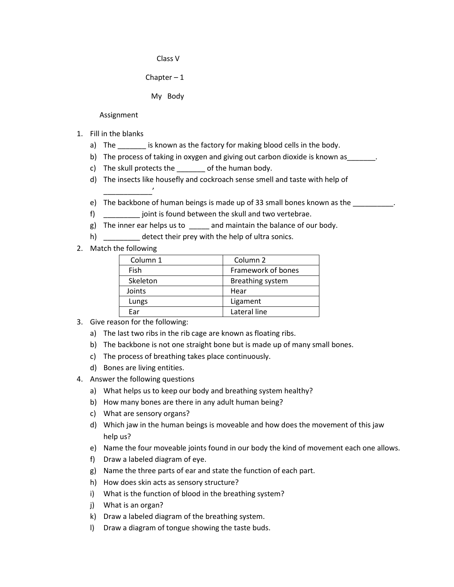Class V

Chapter  $-1$ 

My Body

Assignment

- 1. Fill in the blanks
	- a) The same is known as the factory for making blood cells in the body.
	- b) The process of taking in oxygen and giving out carbon dioxide is known as \_\_\_\_\_\_.
	- c) The skull protects the \_\_\_\_\_\_\_ of the human body.
	- d) The insects like housefly and cockroach sense smell and taste with help of
	- e) The backbone of human beings is made up of 33 small bones known as the  $\qquad \qquad$ .
	- f) \_\_\_\_\_\_\_\_\_ joint is found between the skull and two vertebrae.
	- g) The inner ear helps us to \_\_\_\_\_ and maintain the balance of our body.
	- h) detect their prey with the help of ultra sonics.
- 2. Match the following

 $\overline{\phantom{a}}$ 

| Column 1 | Column <sub>2</sub>     |
|----------|-------------------------|
| Fish     | Framework of bones      |
| Skeleton | <b>Breathing system</b> |
| Joints   | Hear                    |
| Lungs    | Ligament                |
| Far      | Lateral line            |

- 3. Give reason for the following:
	- a) The last two ribs in the rib cage are known as floating ribs.
	- b) The backbone is not one straight bone but is made up of many small bones.
	- c) The process of breathing takes place continuously.
	- d) Bones are living entities.
- 4. Answer the following questions
	- a) What helps us to keep our body and breathing system healthy?
	- b) How many bones are there in any adult human being?
	- c) What are sensory organs?
	- d) Which jaw in the human beings is moveable and how does the movement of this jaw help us?
	- e) Name the four moveable joints found in our body the kind of movement each one allows.
	- f) Draw a labeled diagram of eye.
	- g) Name the three parts of ear and state the function of each part.
	- h) How does skin acts as sensory structure?
	- i) What is the function of blood in the breathing system?
	- j) What is an organ?
	- k) Draw a labeled diagram of the breathing system.
	- l) Draw a diagram of tongue showing the taste buds.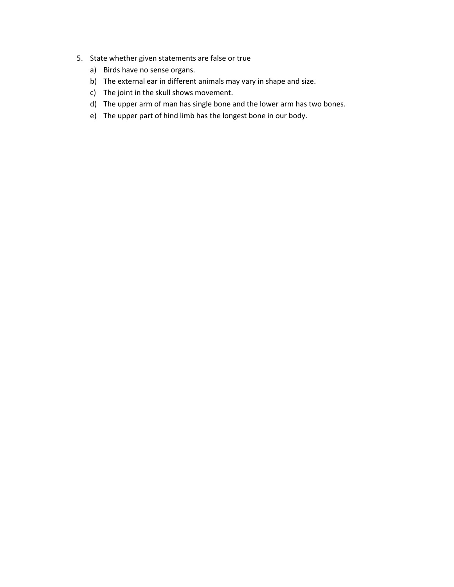- 5. State whether given statements are false or true
	- a) Birds have no sense organs.
	- b) The external ear in different animals may vary in shape and size.
	- c) The joint in the skull shows movement.
	- d) The upper arm of man has single bone and the lower arm has two bones.
	- e) The upper part of hind limb has the longest bone in our body.